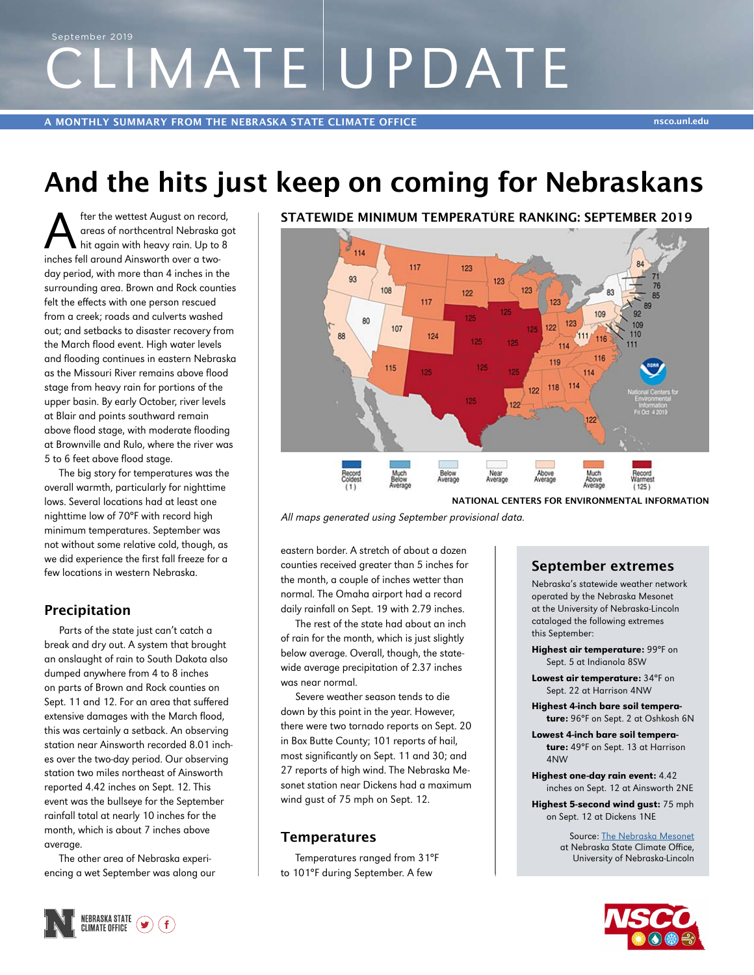# CLIMATE UPDATE September 2019

A MONTHLY SUMMARY FROM THE NEBRASKA STATE CLIMATE OFFICE NEWSLESS CONSUMING THE NET ASSOCIATE ON A SECOND ASSOCIATE

# And the hits just keep on coming for Nebraskans

After the wettest August on record,<br>
areas of northcentral Nebraska go<br>
inches fell ground Ainsworth over a twoareas of northcentral Nebraska got inches fell around Ainsworth over a twoday period, with more than 4 inches in the surrounding area. Brown and Rock counties felt the effects with one person rescued from a creek; roads and culverts washed out; and setbacks to disaster recovery from the March flood event. High water levels and flooding continues in eastern Nebraska as the Missouri River remains above flood stage from heavy rain for portions of the upper basin. By early October, river levels at Blair and points southward remain above flood stage, with moderate flooding at Brownville and Rulo, where the river was 5 to 6 feet above flood stage.

The big story for temperatures was the overall warmth, particularly for nighttime lows. Several locations had at least one nighttime low of 70°F with record high minimum temperatures. September was not without some relative cold, though, as we did experience the first fall freeze for a few locations in western Nebraska.

## Precipitation

Parts of the state just can't catch a break and dry out. A system that brought an onslaught of rain to South Dakota also dumped anywhere from 4 to 8 inches on parts of Brown and Rock counties on Sept. 11 and 12. For an area that suffered extensive damages with the March flood, this was certainly a setback. An observing station near Ainsworth recorded 8.01 inches over the two-day period. Our observing station two miles northeast of Ainsworth reported 4.42 inches on Sept. 12. This event was the bullseye for the September rainfall total at nearly 10 inches for the month, which is about 7 inches above average.

The other area of Nebraska experiencing a wet September was along our

## STATEWIDE MINIMUM TEMPERATURE RANKING: SEPTEMBER 2019



NATIONAL CENTERS FOR ENVIRONMENTAL INFORMATION

All maps generated using September provisional data.

eastern border. A stretch of about a dozen counties received greater than 5 inches for the month, a couple of inches wetter than normal. The Omaha airport had a record daily rainfall on Sept. 19 with 2.79 inches.

The rest of the state had about an inch of rain for the month, which is just slightly below average. Overall, though, the statewide average precipitation of 2.37 inches was near normal.

Severe weather season tends to die down by this point in the year. However, there were two tornado reports on Sept. 20 in Box Butte County; 101 reports of hail, most significantly on Sept. 11 and 30; and 27 reports of high wind. The Nebraska Mesonet station near Dickens had a maximum wind gust of 75 mph on Sept. 12.

## **Temperatures**

Temperatures ranged from 31°F to 101°F during September. A few

## September extremes

Nebraska's statewide weather network operated by the Nebraska Mesonet at the University of Nebraska-Lincoln cataloged the following extremes this September:

Highest air temperature: 99°F on Sept. 5 at Indianola 8SW

- Lowest air temperature: 34°F on Sept. 22 at Harrison 4NW
- Highest 4-inch bare soil temperature: 96°F on Sept. 2 at Oshkosh 6N
- Lowest 4-inch bare soil temperature: 49°F on Sept. 13 at Harrison 4NW
- Highest one-day rain event: 4.42 inches on Sept. 12 at Ainsworth 2NE

Highest 5-second wind gust: 75 mph on Sept. 12 at Dickens 1NE

> Source: The Nebraska Mesonet at Nebraska State Climate Office, University of Nebraska-Lincoln